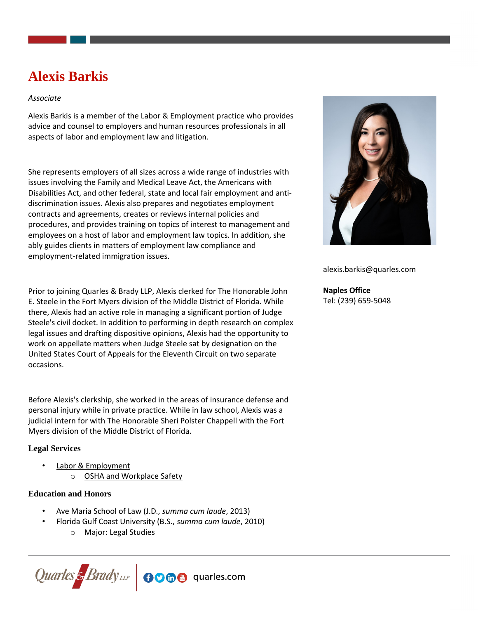# **Alexis Barkis**

# *Associate*

Alexis Barkis is a member of the Labor & Employment practice who provides advice and counsel to employers and human resources professionals in all aspects of labor and employment law and litigation.

She represents employers of all sizes across a wide range of industries with issues involving the Family and Medical Leave Act, the Americans with Disabilities Act, and other federal, state and local fair employment and antidiscrimination issues. Alexis also prepares and negotiates employment contracts and agreements, creates or reviews internal policies and procedures, and provides training on topics of interest to management and employees on a host of labor and employment law topics. In addition, she ably guides clients in matters of employment law compliance and employment-related immigration issues.

Prior to joining Quarles & Brady LLP, Alexis clerked for The Honorable John E. Steele in the Fort Myers division of the Middle District of Florida. While there, Alexis had an active role in managing a significant portion of Judge Steele's civil docket. In addition to performing in depth research on complex legal issues and drafting dispositive opinions, Alexis had the opportunity to work on appellate matters when Judge Steele sat by designation on the United States Court of Appeals for the Eleventh Circuit on two separate occasions.

Before Alexis's clerkship, she worked in the areas of insurance defense and personal injury while in private practice. While in law school, Alexis was a judicial intern for with The Honorable Sheri Polster Chappell with the Fort Myers division of the Middle District of Florida.

# **Legal Services**

- [Labor & Employment](https://www.quarles.com/labor-employment/)
	- o [OSHA and Workplace Safety](https://www.quarles.com/labor-employment/services/osha-and-workplace-safety/)

#### **Education and Honors**

- Ave Maria School of Law (J.D., *summa cum laude*, 2013)
- Florida Gulf Coast University (B.S., *summa cum laude*, 2010)
	- o Major: Legal Studies





alexis.barkis@quarles.com

**Naples Office** Tel: (239) 659-5048